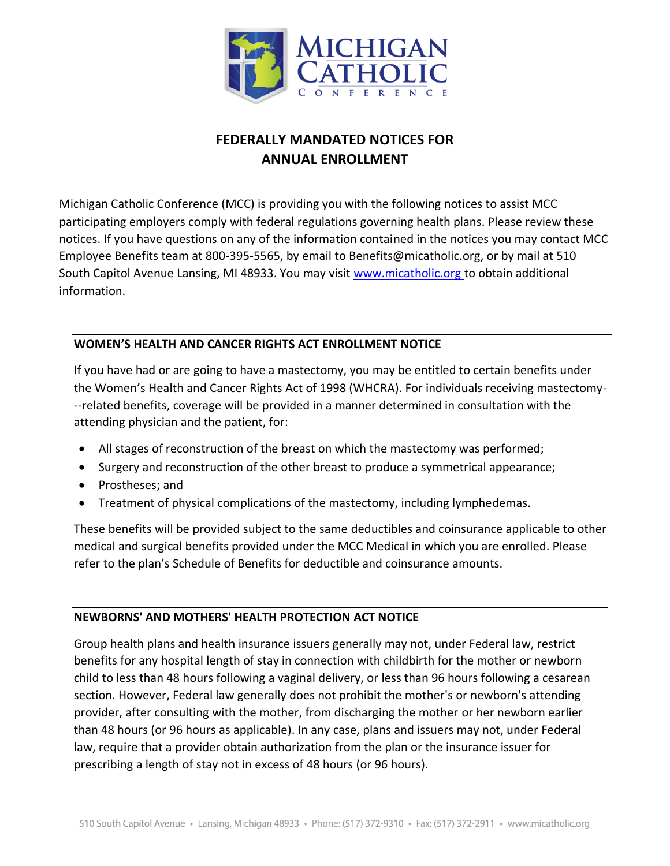

## **FEDERALLY MANDATED NOTICES FOR ANNUAL ENROLLMENT**

Michigan Catholic Conference (MCC) is providing you with the following notices to assist MCC participating employers comply with federal regulations governing health plans. Please review these notices. If you have questions on any of the information contained in the notices you may contact MCC Employee Benefits team at 800-395-5565, by email to Benefits@micatholic.org, or by mail at 510 South Capitol Avenue Lansing, MI 48933. You may visit www.micatholic.org to obtain additional information.

## **WOMEN'S HEALTH AND CANCER RIGHTS ACT ENROLLMENT NOTICE**

If you have had or are going to have a mastectomy, you may be entitled to certain benefits under the Women's Health and Cancer Rights Act of 1998 (WHCRA). For individuals receiving mastectomy- -‐related benefits, coverage will be provided in a manner determined in consultation with the attending physician and the patient, for:

- All stages of reconstruction of the breast on which the mastectomy was performed;
- Surgery and reconstruction of the other breast to produce a symmetrical appearance;
- Prostheses; and
- Treatment of physical complications of the mastectomy, including lymphedemas.

These benefits will be provided subject to the same deductibles and coinsurance applicable to other medical and surgical benefits provided under the MCC Medical in which you are enrolled. Please refer to the plan's Schedule of Benefits for deductible and coinsurance amounts.

## **NEWBORNS' AND MOTHERS' HEALTH PROTECTION ACT NOTICE**

Group health plans and health insurance issuers generally may not, under Federal law, restrict benefits for any hospital length of stay in connection with childbirth for the mother or newborn child to less than 48 hours following a vaginal delivery, or less than 96 hours following a cesarean section. However, Federal law generally does not prohibit the mother's or newborn's attending provider, after consulting with the mother, from discharging the mother or her newborn earlier than 48 hours (or 96 hours as applicable). In any case, plans and issuers may not, under Federal law, require that a provider obtain authorization from the plan or the insurance issuer for prescribing a length of stay not in excess of 48 hours (or 96 hours).